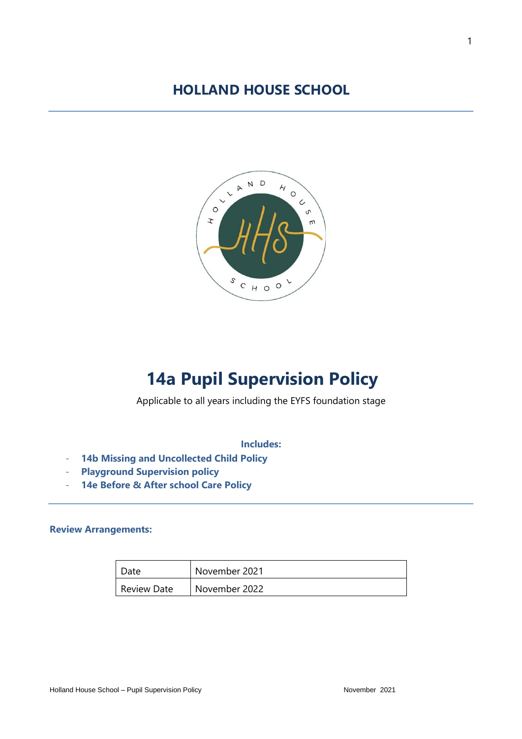## **HOLLAND HOUSE SCHOOL**



# **14a Pupil Supervision Policy**

#### Applicable to all years including the EYFS foundation stage

#### **Includes:**

- **14b Missing and Uncollected Child Policy**
- **Playground Supervision policy**
- **14e Before & After school Care Policy**

#### **Review Arrangements:**

| Date               | November 2021 |
|--------------------|---------------|
| <b>Review Date</b> | November 2022 |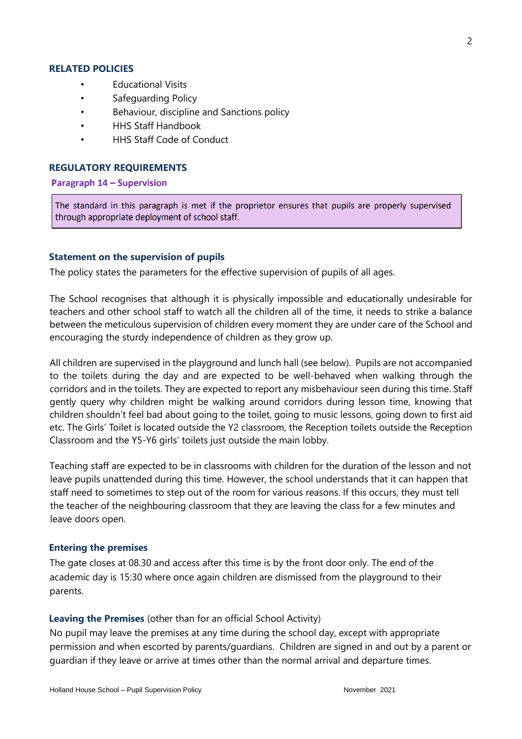#### **RELATED POLICIES**

- Educational Visits
- Safeguarding Policy
- Behaviour, discipline and Sanctions policy
- HHS Staff Handbook
- HHS Staff Code of Conduct

#### **REGULATORY REQUIREMENTS**

Paragraph 14 - Supervision

The standard in this paragraph is met if the proprietor ensures that pupils are properly supervised through appropriate deployment of school staff.

#### **Statement on the supervision of pupils**

The policy states the parameters for the effective supervision of pupils of all ages.

The School recognises that although it is physically impossible and educationally undesirable for teachers and other school staff to watch all the children all of the time, it needs to strike a balance between the meticulous supervision of children every moment they are under care of the School and encouraging the sturdy independence of children as they grow up.

All children are supervised in the playground and lunch hall (see below). Pupils are not accompanied to the toilets during the day and are expected to be well-behaved when walking through the corridors and in the toilets. They are expected to report any misbehaviour seen during this time. Staff gently query why children might be walking around corridors during lesson time, knowing that children shouldn't feel bad about going to the toilet, going to music lessons, going down to first aid etc. The Girls' Toilet is located outside the Y2 classroom, the Reception toilets outside the Reception Classroom and the Y5-Y6 girls' toilets just outside the main lobby.

Teaching staff are expected to be in classrooms with children for the duration of the lesson and not leave pupils unattended during this time. However, the school understands that it can happen that staff need to sometimes to step out of the room for various reasons. If this occurs, they must tell the teacher of the neighbouring classroom that they are leaving the class for a few minutes and leave doors open.

#### **Entering the premises**

The gate closes at 08.30 and access after this time is by the front door only. The end of the academic day is 15:30 where once again children are dismissed from the playground to their parents.

#### **Leaving the Premises** (other than for an official School Activity)

No pupil may leave the premises at any time during the school day, except with appropriate permission and when escorted by parents/guardians. Children are signed in and out by a parent or guardian if they leave or arrive at times other than the normal arrival and departure times.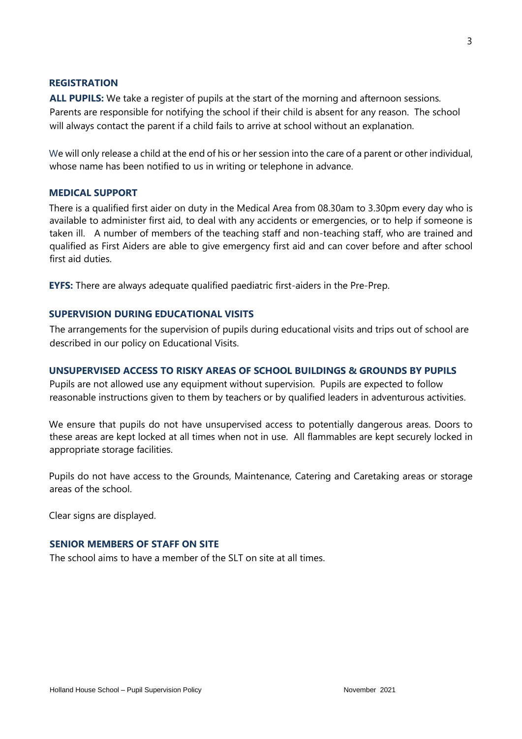#### **REGISTRATION**

**ALL PUPILS:** We take a register of pupils at the start of the morning and afternoon sessions. Parents are responsible for notifying the school if their child is absent for any reason. The school will always contact the parent if a child fails to arrive at school without an explanation.

We will only release a child at the end of his or her session into the care of a parent or other individual, whose name has been notified to us in writing or telephone in advance.

#### **MEDICAL SUPPORT**

There is a qualified first aider on duty in the Medical Area from 08.30am to 3.30pm every day who is available to administer first aid, to deal with any accidents or emergencies, or to help if someone is taken ill. A number of members of the teaching staff and non-teaching staff, who are trained and qualified as First Aiders are able to give emergency first aid and can cover before and after school first aid duties.

**EYFS:** There are always adequate qualified paediatric first-aiders in the Pre-Prep.

#### **SUPERVISION DURING EDUCATIONAL VISITS**

The arrangements for the supervision of pupils during educational visits and trips out of school are described in our policy on Educational Visits.

#### **UNSUPERVISED ACCESS TO RISKY AREAS OF SCHOOL BUILDINGS & GROUNDS BY PUPILS**

Pupils are not allowed use any equipment without supervision. Pupils are expected to follow reasonable instructions given to them by teachers or by qualified leaders in adventurous activities.

We ensure that pupils do not have unsupervised access to potentially dangerous areas. Doors to these areas are kept locked at all times when not in use. All flammables are kept securely locked in appropriate storage facilities.

Pupils do not have access to the Grounds, Maintenance, Catering and Caretaking areas or storage areas of the school.

Clear signs are displayed.

#### **SENIOR MEMBERS OF STAFF ON SITE**

The school aims to have a member of the SLT on site at all times.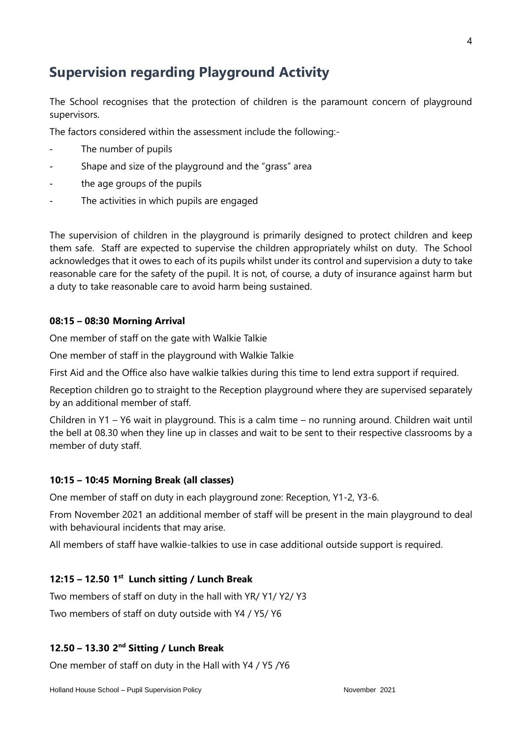## **Supervision regarding Playground Activity**

The School recognises that the protection of children is the paramount concern of playground supervisors.

The factors considered within the assessment include the following:-

- The number of pupils
- Shape and size of the playground and the "grass" area
- the age groups of the pupils
- The activities in which pupils are engaged

The supervision of children in the playground is primarily designed to protect children and keep them safe. Staff are expected to supervise the children appropriately whilst on duty. The School acknowledges that it owes to each of its pupils whilst under its control and supervision a duty to take reasonable care for the safety of the pupil. It is not, of course, a duty of insurance against harm but a duty to take reasonable care to avoid harm being sustained.

#### **08:15 – 08:30 Morning Arrival**

One member of staff on the gate with Walkie Talkie

One member of staff in the playground with Walkie Talkie

First Aid and the Office also have walkie talkies during this time to lend extra support if required.

Reception children go to straight to the Reception playground where they are supervised separately by an additional member of staff.

Children in Y1 – Y6 wait in playground. This is a calm time – no running around. Children wait until the bell at 08.30 when they line up in classes and wait to be sent to their respective classrooms by a member of duty staff.

#### **10:15 – 10:45 Morning Break (all classes)**

One member of staff on duty in each playground zone: Reception, Y1-2, Y3-6.

From November 2021 an additional member of staff will be present in the main playground to deal with behavioural incidents that may arise.

All members of staff have walkie-talkies to use in case additional outside support is required.

#### **12:15 – 12.50 1 st Lunch sitting / Lunch Break**

Two members of staff on duty in the hall with YR/ Y1/ Y2/ Y3 Two members of staff on duty outside with Y4 / Y5/ Y6

#### **12.50 – 13.30 2 nd Sitting / Lunch Break**

One member of staff on duty in the Hall with Y4 / Y5 /Y6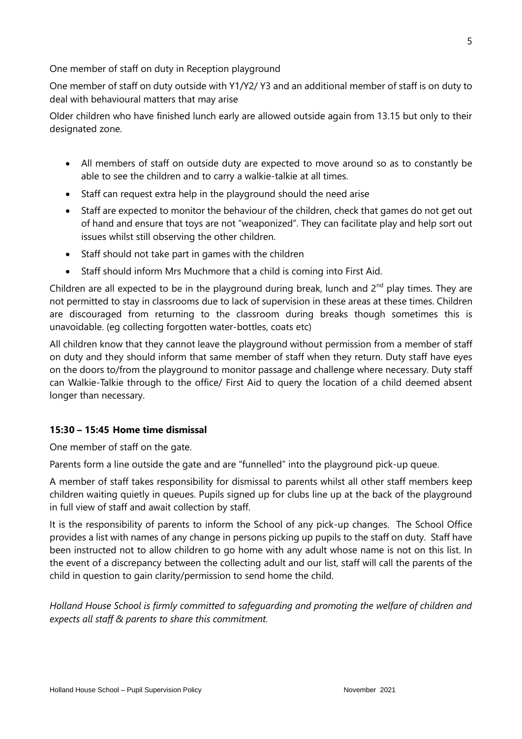One member of staff on duty in Reception playground

One member of staff on duty outside with Y1/Y2/ Y3 and an additional member of staff is on duty to deal with behavioural matters that may arise

Older children who have finished lunch early are allowed outside again from 13.15 but only to their designated zone.

- All members of staff on outside duty are expected to move around so as to constantly be able to see the children and to carry a walkie-talkie at all times.
- Staff can request extra help in the playground should the need arise
- Staff are expected to monitor the behaviour of the children, check that games do not get out of hand and ensure that toys are not "weaponized". They can facilitate play and help sort out issues whilst still observing the other children.
- Staff should not take part in games with the children
- Staff should inform Mrs Muchmore that a child is coming into First Aid.

Children are all expected to be in the playground during break, lunch and  $2<sup>nd</sup>$  play times. They are not permitted to stay in classrooms due to lack of supervision in these areas at these times. Children are discouraged from returning to the classroom during breaks though sometimes this is unavoidable. (eg collecting forgotten water-bottles, coats etc)

All children know that they cannot leave the playground without permission from a member of staff on duty and they should inform that same member of staff when they return. Duty staff have eyes on the doors to/from the playground to monitor passage and challenge where necessary. Duty staff can Walkie-Talkie through to the office/ First Aid to query the location of a child deemed absent longer than necessary.

#### **15:30 – 15:45 Home time dismissal**

One member of staff on the gate.

Parents form a line outside the gate and are "funnelled" into the playground pick-up queue.

A member of staff takes responsibility for dismissal to parents whilst all other staff members keep children waiting quietly in queues. Pupils signed up for clubs line up at the back of the playground in full view of staff and await collection by staff.

It is the responsibility of parents to inform the School of any pick-up changes. The School Office provides a list with names of any change in persons picking up pupils to the staff on duty. Staff have been instructed not to allow children to go home with any adult whose name is not on this list. In the event of a discrepancy between the collecting adult and our list, staff will call the parents of the child in question to gain clarity/permission to send home the child.

*Holland House School is firmly committed to safeguarding and promoting the welfare of children and expects all staff & parents to share this commitment.*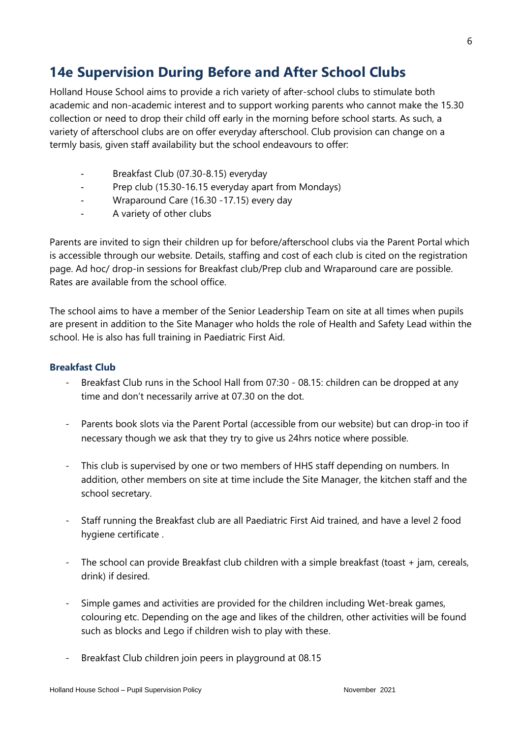## **14e Supervision During Before and After School Clubs**

Holland House School aims to provide a rich variety of after-school clubs to stimulate both academic and non-academic interest and to support working parents who cannot make the 15.30 collection or need to drop their child off early in the morning before school starts. As such, a variety of afterschool clubs are on offer everyday afterschool. Club provision can change on a termly basis, given staff availability but the school endeavours to offer:

- Breakfast Club (07.30-8.15) everyday
- Prep club (15.30-16.15 everyday apart from Mondays)
- Wraparound Care (16.30 -17.15) every day
- A variety of other clubs

Parents are invited to sign their children up for before/afterschool clubs via the Parent Portal which is accessible through our website. Details, staffing and cost of each club is cited on the registration page. Ad hoc/ drop-in sessions for Breakfast club/Prep club and Wraparound care are possible. Rates are available from the school office.

The school aims to have a member of the Senior Leadership Team on site at all times when pupils are present in addition to the Site Manager who holds the role of Health and Safety Lead within the school. He is also has full training in Paediatric First Aid.

#### **Breakfast Club**

- Breakfast Club runs in the School Hall from 07:30 08.15: children can be dropped at any time and don't necessarily arrive at 07.30 on the dot.
- Parents book slots via the Parent Portal (accessible from our website) but can drop-in too if necessary though we ask that they try to give us 24hrs notice where possible.
- This club is supervised by one or two members of HHS staff depending on numbers. In addition, other members on site at time include the Site Manager, the kitchen staff and the school secretary.
- Staff running the Breakfast club are all Paediatric First Aid trained, and have a level 2 food hygiene certificate .
- The school can provide Breakfast club children with a simple breakfast (toast + jam, cereals, drink) if desired.
- Simple games and activities are provided for the children including Wet-break games, colouring etc. Depending on the age and likes of the children, other activities will be found such as blocks and Lego if children wish to play with these.
- Breakfast Club children join peers in playground at 08.15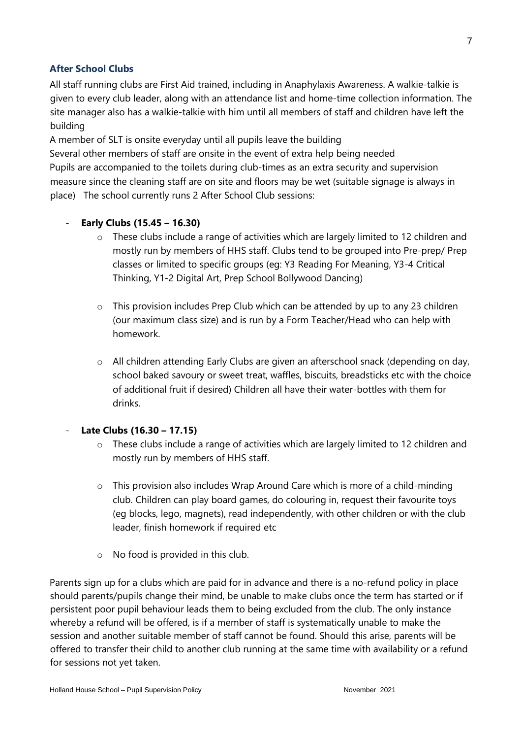#### **After School Clubs**

All staff running clubs are First Aid trained, including in Anaphylaxis Awareness. A walkie-talkie is given to every club leader, along with an attendance list and home-time collection information. The site manager also has a walkie-talkie with him until all members of staff and children have left the building

A member of SLT is onsite everyday until all pupils leave the building

Several other members of staff are onsite in the event of extra help being needed Pupils are accompanied to the toilets during club-times as an extra security and supervision measure since the cleaning staff are on site and floors may be wet (suitable signage is always in place) The school currently runs 2 After School Club sessions:

#### - **Early Clubs (15.45 – 16.30)**

- $\circ$  These clubs include a range of activities which are largely limited to 12 children and mostly run by members of HHS staff. Clubs tend to be grouped into Pre-prep/ Prep classes or limited to specific groups (eg: Y3 Reading For Meaning, Y3-4 Critical Thinking, Y1-2 Digital Art, Prep School Bollywood Dancing)
- o This provision includes Prep Club which can be attended by up to any 23 children (our maximum class size) and is run by a Form Teacher/Head who can help with homework.
- o All children attending Early Clubs are given an afterschool snack (depending on day, school baked savoury or sweet treat, waffles, biscuits, breadsticks etc with the choice of additional fruit if desired) Children all have their water-bottles with them for drinks.

#### - **Late Clubs (16.30 – 17.15)**

- o These clubs include a range of activities which are largely limited to 12 children and mostly run by members of HHS staff.
- $\circ$  This provision also includes Wrap Around Care which is more of a child-minding club. Children can play board games, do colouring in, request their favourite toys (eg blocks, lego, magnets), read independently, with other children or with the club leader, finish homework if required etc
- o No food is provided in this club.

Parents sign up for a clubs which are paid for in advance and there is a no-refund policy in place should parents/pupils change their mind, be unable to make clubs once the term has started or if persistent poor pupil behaviour leads them to being excluded from the club. The only instance whereby a refund will be offered, is if a member of staff is systematically unable to make the session and another suitable member of staff cannot be found. Should this arise, parents will be offered to transfer their child to another club running at the same time with availability or a refund for sessions not yet taken.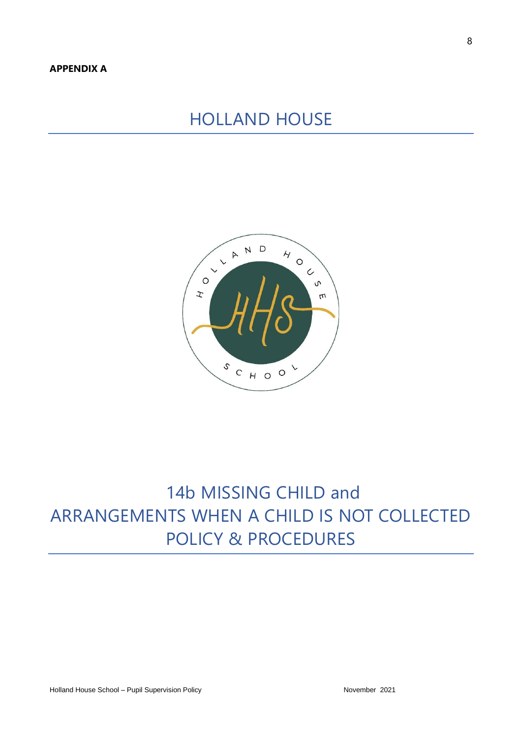## HOLLAND HOUSE



# 14b MISSING CHILD and ARRANGEMENTS WHEN A CHILD IS NOT COLLECTED POLICY & PROCEDURES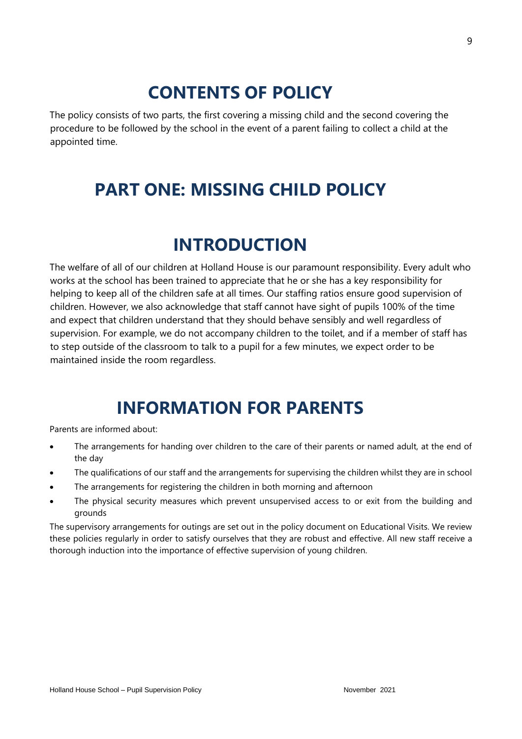# **CONTENTS OF POLICY**

The policy consists of two parts, the first covering a missing child and the second covering the procedure to be followed by the school in the event of a parent failing to collect a child at the appointed time.

# **PART ONE: MISSING CHILD POLICY**

## **INTRODUCTION**

The welfare of all of our children at Holland House is our paramount responsibility. Every adult who works at the school has been trained to appreciate that he or she has a key responsibility for helping to keep all of the children safe at all times. Our staffing ratios ensure good supervision of children. However, we also acknowledge that staff cannot have sight of pupils 100% of the time and expect that children understand that they should behave sensibly and well regardless of supervision. For example, we do not accompany children to the toilet, and if a member of staff has to step outside of the classroom to talk to a pupil for a few minutes, we expect order to be maintained inside the room regardless.

## **INFORMATION FOR PARENTS**

Parents are informed about:

- The arrangements for handing over children to the care of their parents or named adult, at the end of the day
- The qualifications of our staff and the arrangements for supervising the children whilst they are in school
- The arrangements for registering the children in both morning and afternoon
- The physical security measures which prevent unsupervised access to or exit from the building and grounds

The supervisory arrangements for outings are set out in the policy document on Educational Visits. We review these policies regularly in order to satisfy ourselves that they are robust and effective. All new staff receive a thorough induction into the importance of effective supervision of young children.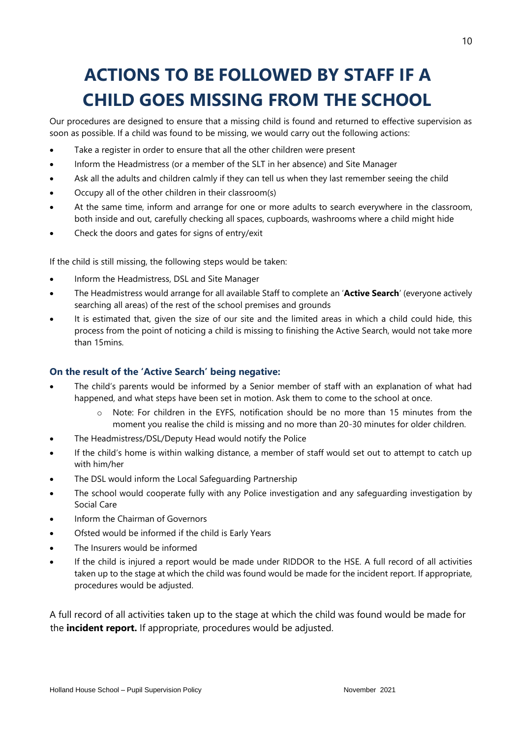# **ACTIONS TO BE FOLLOWED BY STAFF IF A CHILD GOES MISSING FROM THE SCHOOL**

Our procedures are designed to ensure that a missing child is found and returned to effective supervision as soon as possible. If a child was found to be missing, we would carry out the following actions:

- Take a register in order to ensure that all the other children were present
- Inform the Headmistress (or a member of the SLT in her absence) and Site Manager
- Ask all the adults and children calmly if they can tell us when they last remember seeing the child
- Occupy all of the other children in their classroom(s)
- At the same time, inform and arrange for one or more adults to search everywhere in the classroom, both inside and out, carefully checking all spaces, cupboards, washrooms where a child might hide
- Check the doors and gates for signs of entry/exit

If the child is still missing, the following steps would be taken:

- Inform the Headmistress, DSL and Site Manager
- The Headmistress would arrange for all available Staff to complete an '**Active Search**' (everyone actively searching all areas) of the rest of the school premises and grounds
- It is estimated that, given the size of our site and the limited areas in which a child could hide, this process from the point of noticing a child is missing to finishing the Active Search, would not take more than 15mins.

#### **On the result of the 'Active Search' being negative:**

- The child's parents would be informed by a Senior member of staff with an explanation of what had happened, and what steps have been set in motion. Ask them to come to the school at once.
	- o Note: For children in the EYFS, notification should be no more than 15 minutes from the moment you realise the child is missing and no more than 20-30 minutes for older children.
- The Headmistress/DSL/Deputy Head would notify the Police
- If the child's home is within walking distance, a member of staff would set out to attempt to catch up with him/her
- The DSL would inform the Local Safeguarding Partnership
- The school would cooperate fully with any Police investigation and any safeguarding investigation by Social Care
- Inform the Chairman of Governors
- Ofsted would be informed if the child is Early Years
- The Insurers would be informed
- If the child is injured a report would be made under RIDDOR to the HSE. A full record of all activities taken up to the stage at which the child was found would be made for the incident report. If appropriate, procedures would be adjusted.

A full record of all activities taken up to the stage at which the child was found would be made for the **incident report.** If appropriate, procedures would be adjusted.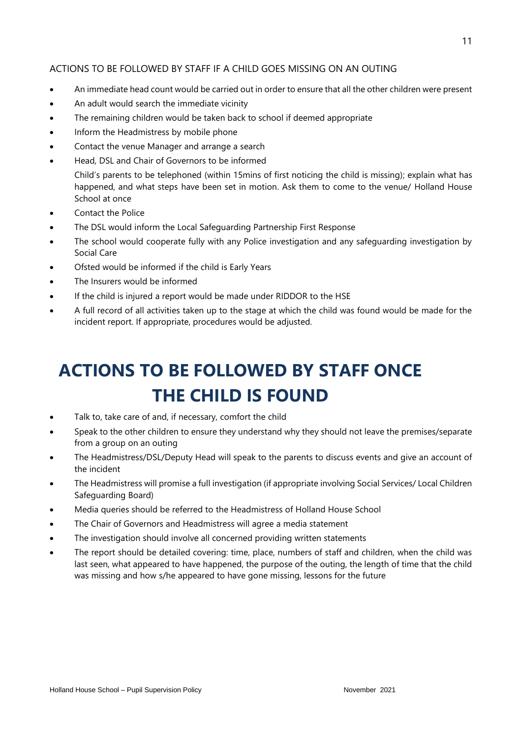#### ACTIONS TO BE FOLLOWED BY STAFF IF A CHILD GOES MISSING ON AN OUTING

- An immediate head count would be carried out in order to ensure that all the other children were present
- An adult would search the immediate vicinity
- The remaining children would be taken back to school if deemed appropriate
- Inform the Headmistress by mobile phone
- Contact the venue Manager and arrange a search
- Head, DSL and Chair of Governors to be informed

Child's parents to be telephoned (within 15mins of first noticing the child is missing); explain what has happened, and what steps have been set in motion. Ask them to come to the venue/ Holland House School at once

- Contact the Police
- The DSL would inform the Local Safeguarding Partnership First Response
- The school would cooperate fully with any Police investigation and any safeguarding investigation by Social Care
- Ofsted would be informed if the child is Early Years
- The Insurers would be informed
- If the child is injured a report would be made under RIDDOR to the HSE
- A full record of all activities taken up to the stage at which the child was found would be made for the incident report. If appropriate, procedures would be adjusted.

# **ACTIONS TO BE FOLLOWED BY STAFF ONCE THE CHILD IS FOUND**

- Talk to, take care of and, if necessary, comfort the child
- Speak to the other children to ensure they understand why they should not leave the premises/separate from a group on an outing
- The Headmistress/DSL/Deputy Head will speak to the parents to discuss events and give an account of the incident
- The Headmistress will promise a full investigation (if appropriate involving Social Services/ Local Children Safeguarding Board)
- Media queries should be referred to the Headmistress of Holland House School
- The Chair of Governors and Headmistress will agree a media statement
- The investigation should involve all concerned providing written statements
- The report should be detailed covering: time, place, numbers of staff and children, when the child was last seen, what appeared to have happened, the purpose of the outing, the length of time that the child was missing and how s/he appeared to have gone missing, lessons for the future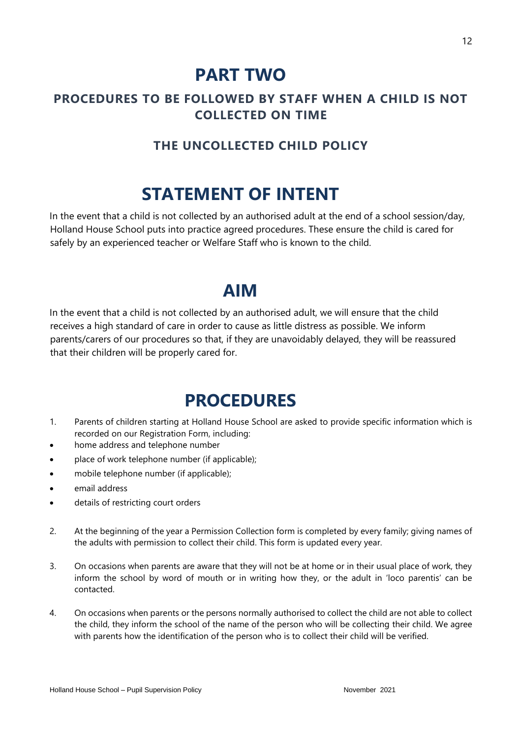## **PART TWO**

### **PROCEDURES TO BE FOLLOWED BY STAFF WHEN A CHILD IS NOT COLLECTED ON TIME**

### **THE UNCOLLECTED CHILD POLICY**

# **STATEMENT OF INTENT**

In the event that a child is not collected by an authorised adult at the end of a school session/day, Holland House School puts into practice agreed procedures. These ensure the child is cared for safely by an experienced teacher or Welfare Staff who is known to the child.

## **AIM**

In the event that a child is not collected by an authorised adult, we will ensure that the child receives a high standard of care in order to cause as little distress as possible. We inform parents/carers of our procedures so that, if they are unavoidably delayed, they will be reassured that their children will be properly cared for.

# **PROCEDURES**

- 1. Parents of children starting at Holland House School are asked to provide specific information which is recorded on our Registration Form, including:
- home address and telephone number
- place of work telephone number (if applicable);
- mobile telephone number (if applicable);
- email address
- details of restricting court orders
- 2. At the beginning of the year a Permission Collection form is completed by every family; giving names of the adults with permission to collect their child. This form is updated every year.
- 3. On occasions when parents are aware that they will not be at home or in their usual place of work, they inform the school by word of mouth or in writing how they, or the adult in 'loco parentis' can be contacted.
- 4. On occasions when parents or the persons normally authorised to collect the child are not able to collect the child, they inform the school of the name of the person who will be collecting their child. We agree with parents how the identification of the person who is to collect their child will be verified.